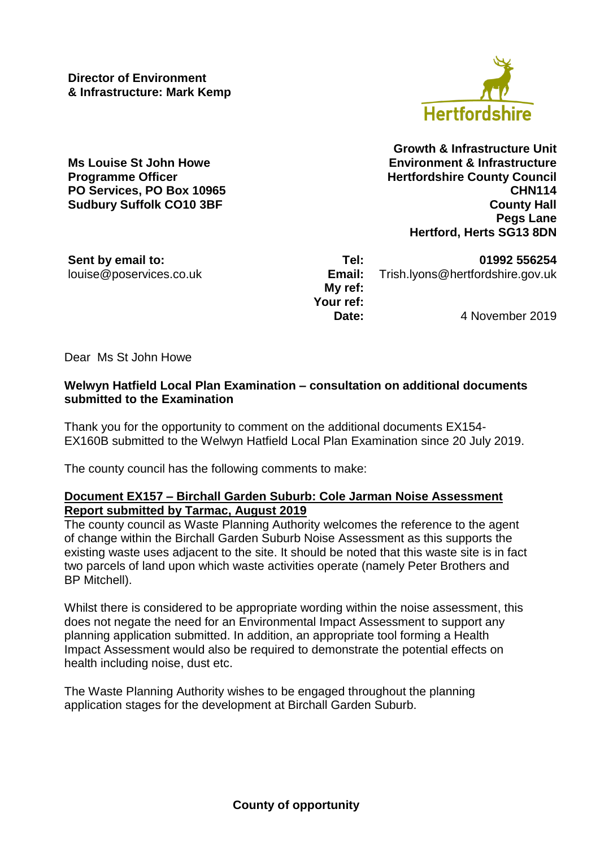**Director of Environment & Infrastructure: Mark Kemp**

**PO Services, PO Box 10965 Sudbury Suffolk CO10 3BF**

**Hertfordshire** 

**Growth & Infrastructure Unit Ms Louise St John Howe Environment & Infrastructure Programme Officer Hertfordshire County Council CHN114 County Hall Pegs Lane Hertford, Herts SG13 8DN**

**Sent by email to: Tel: 01992 556254** louise@poservices.co.uk **Email:** Trish.lyons@hertfordshire.gov.uk

**My ref: Your ref:**

**Date:** 4 November 2019

Dear Ms St John Howe

## **Welwyn Hatfield Local Plan Examination – consultation on additional documents submitted to the Examination**

Thank you for the opportunity to comment on the additional documents EX154- EX160B submitted to the Welwyn Hatfield Local Plan Examination since 20 July 2019.

The county council has the following comments to make:

## **Document EX157 – Birchall Garden Suburb: Cole Jarman Noise Assessment Report submitted by Tarmac, August 2019**

The county council as Waste Planning Authority welcomes the reference to the agent of change within the Birchall Garden Suburb Noise Assessment as this supports the existing waste uses adjacent to the site. It should be noted that this waste site is in fact two parcels of land upon which waste activities operate (namely Peter Brothers and BP Mitchell).

Whilst there is considered to be appropriate wording within the noise assessment, this does not negate the need for an Environmental Impact Assessment to support any planning application submitted. In addition, an appropriate tool forming a Health Impact Assessment would also be required to demonstrate the potential effects on health including noise, dust etc.

The Waste Planning Authority wishes to be engaged throughout the planning application stages for the development at Birchall Garden Suburb.